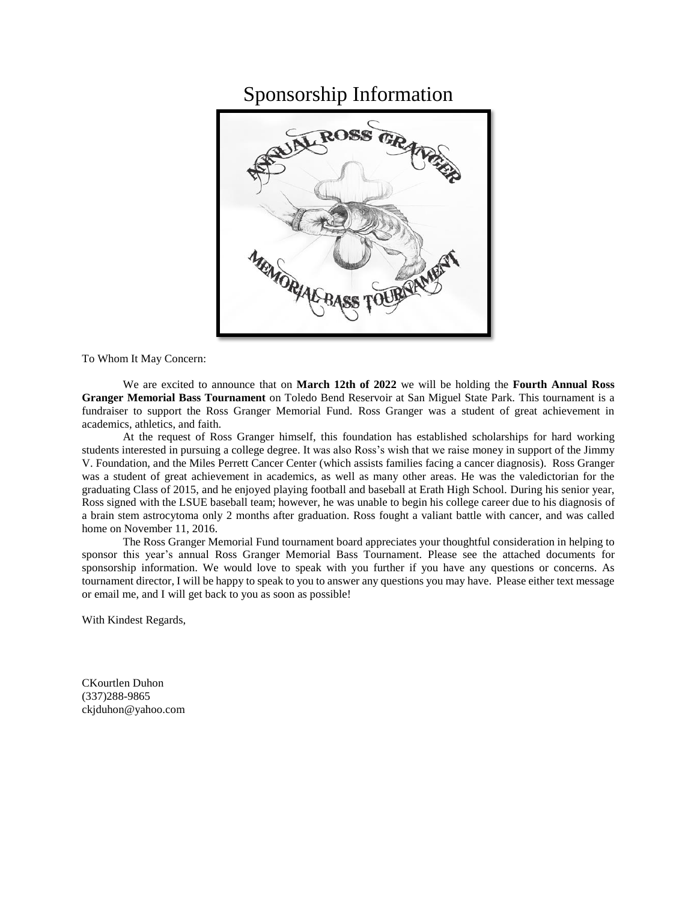## Sponsorship Information



To Whom It May Concern:

We are excited to announce that on **March 12th of 2022** we will be holding the **Fourth Annual Ross Granger Memorial Bass Tournament** on Toledo Bend Reservoir at San Miguel State Park. This tournament is a fundraiser to support the Ross Granger Memorial Fund. Ross Granger was a student of great achievement in academics, athletics, and faith.

At the request of Ross Granger himself, this foundation has established scholarships for hard working students interested in pursuing a college degree. It was also Ross's wish that we raise money in support of the Jimmy V. Foundation, and the Miles Perrett Cancer Center (which assists families facing a cancer diagnosis). Ross Granger was a student of great achievement in academics, as well as many other areas. He was the valedictorian for the graduating Class of 2015, and he enjoyed playing football and baseball at Erath High School. During his senior year, Ross signed with the LSUE baseball team; however, he was unable to begin his college career due to his diagnosis of a brain stem astrocytoma only 2 months after graduation. Ross fought a valiant battle with cancer, and was called home on November 11, 2016.

The Ross Granger Memorial Fund tournament board appreciates your thoughtful consideration in helping to sponsor this year's annual Ross Granger Memorial Bass Tournament. Please see the attached documents for sponsorship information. We would love to speak with you further if you have any questions or concerns. As tournament director, I will be happy to speak to you to answer any questions you may have. Please either text message or email me, and I will get back to you as soon as possible!

With Kindest Regards,

CKourtlen Duhon (337)288-9865 ckjduhon@yahoo.com